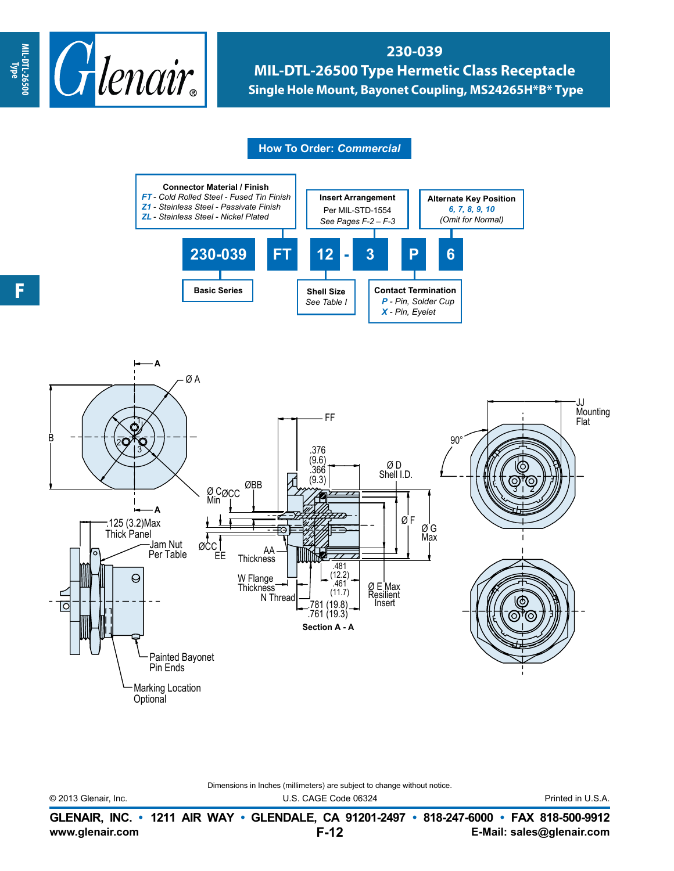

## **230-039 MIL-DTL-26500 Type Hermetic Class Receptacle Single Hole Mount, Bayonet Coupling, MS24265H\*B\* Type**

## **How To Order:** *Commercial*





Dimensions in Inches (millimeters) are subject to change without notice.

© 2013 Glenair, Inc. U.S. CAGE Code 06324 Printed in U.S.A.

**www.glenair.com E-Mail: sales@glenair.com GLENAIR, INC. • 1211 AIR WAY • GLENDALE, CA 91201-2497 • 818-247-6000 • FAX 818-500-9912 F-12**